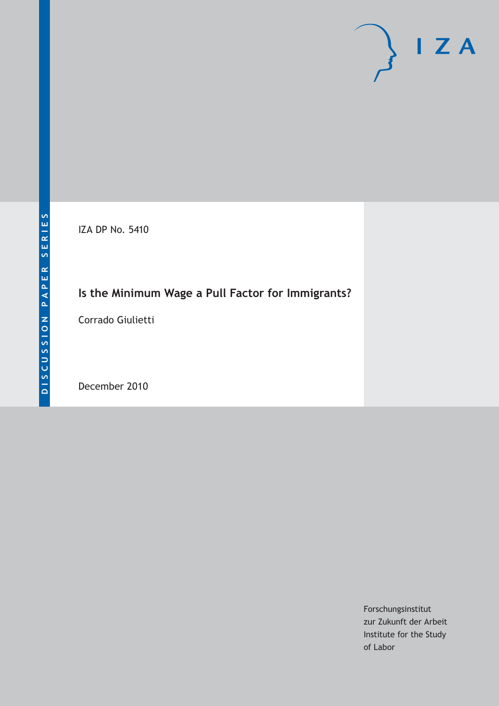IZA DP No. 5410

# **Is the Minimum Wage a Pull Factor for Immigrants?**

Corrado Giulietti

December 2010

Forschungsinstitut zur Zukunft der Arbeit Institute for the Study of Labor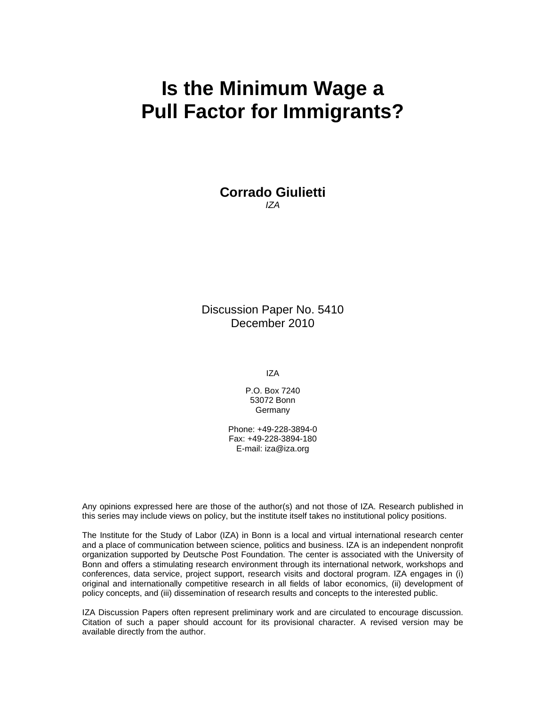# **Is the Minimum Wage a Pull Factor for Immigrants?**

**Corrado Giulietti**  *IZA* 

Discussion Paper No. 5410 December 2010

IZA

P.O. Box 7240 53072 Bonn **Germany** 

Phone: +49-228-3894-0 Fax: +49-228-3894-180 E-mail: iza@iza.org

Any opinions expressed here are those of the author(s) and not those of IZA. Research published in this series may include views on policy, but the institute itself takes no institutional policy positions.

The Institute for the Study of Labor (IZA) in Bonn is a local and virtual international research center and a place of communication between science, politics and business. IZA is an independent nonprofit organization supported by Deutsche Post Foundation. The center is associated with the University of Bonn and offers a stimulating research environment through its international network, workshops and conferences, data service, project support, research visits and doctoral program. IZA engages in (i) original and internationally competitive research in all fields of labor economics, (ii) development of policy concepts, and (iii) dissemination of research results and concepts to the interested public.

IZA Discussion Papers often represent preliminary work and are circulated to encourage discussion. Citation of such a paper should account for its provisional character. A revised version may be available directly from the author.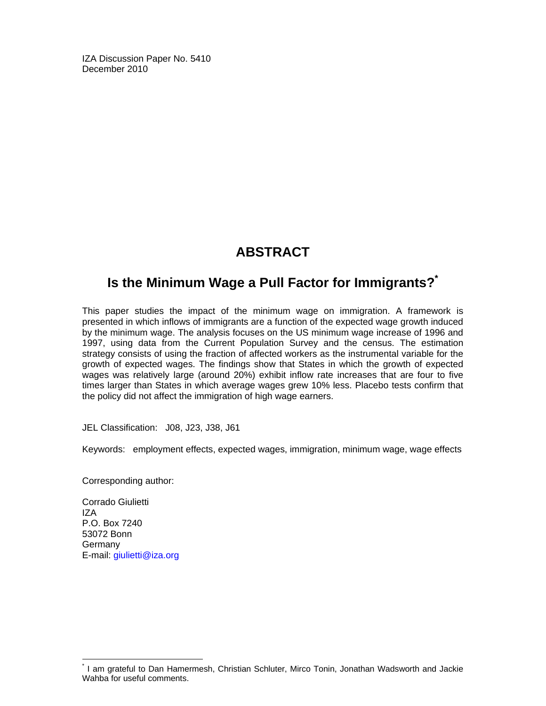IZA Discussion Paper No. 5410 December 2010

# **ABSTRACT**

# **Is the Minimum Wage a Pull Factor for Immigrants?\***

This paper studies the impact of the minimum wage on immigration. A framework is presented in which inflows of immigrants are a function of the expected wage growth induced by the minimum wage. The analysis focuses on the US minimum wage increase of 1996 and 1997, using data from the Current Population Survey and the census. The estimation strategy consists of using the fraction of affected workers as the instrumental variable for the growth of expected wages. The findings show that States in which the growth of expected wages was relatively large (around 20%) exhibit inflow rate increases that are four to five times larger than States in which average wages grew 10% less. Placebo tests confirm that the policy did not affect the immigration of high wage earners.

JEL Classification: J08, J23, J38, J61

Keywords: employment effects, expected wages, immigration, minimum wage, wage effects

Corresponding author:

Corrado Giulietti IZA P.O. Box 7240 53072 Bonn **Germany** E-mail: giulietti@iza.org

-

<sup>\*</sup> I am grateful to Dan Hamermesh, Christian Schluter, Mirco Tonin, Jonathan Wadsworth and Jackie Wahba for useful comments.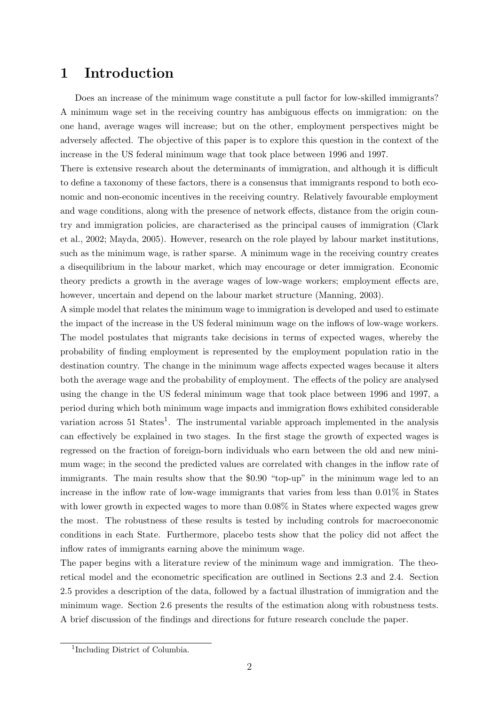# 1 Introduction

Does an increase of the minimum wage constitute a pull factor for low-skilled immigrants? A minimum wage set in the receiving country has ambiguous effects on immigration: on the one hand, average wages will increase; but on the other, employment perspectives might be adversely affected. The objective of this paper is to explore this question in the context of the increase in the US federal minimum wage that took place between 1996 and 1997.

There is extensive research about the determinants of immigration, and although it is difficult to define a taxonomy of these factors, there is a consensus that immigrants respond to both economic and non-economic incentives in the receiving country. Relatively favourable employment and wage conditions, along with the presence of network effects, distance from the origin country and immigration policies, are characterised as the principal causes of immigration [\(Clark](#page-21-0) [et al.,](#page-21-0) [2002;](#page-21-0) [Mayda,](#page-22-0) [2005\)](#page-22-0). However, research on the role played by labour market institutions, such as the minimum wage, is rather sparse. A minimum wage in the receiving country creates a disequilibrium in the labour market, which may encourage or deter immigration. Economic theory predicts a growth in the average wages of low-wage workers; employment effects are, however, uncertain and depend on the labour market structure [\(Manning,](#page-21-1) [2003\)](#page-21-1).

A simple model that relates the minimum wage to immigration is developed and used to estimate the impact of the increase in the US federal minimum wage on the inflows of low-wage workers. The model postulates that migrants take decisions in terms of expected wages, whereby the probability of finding employment is represented by the employment population ratio in the destination country. The change in the minimum wage affects expected wages because it alters both the average wage and the probability of employment. The effects of the policy are analysed using the change in the US federal minimum wage that took place between 1996 and 1997, a period during which both minimum wage impacts and immigration flows exhibited considerable variation across 5[1](#page-3-0) States<sup>1</sup>. The instrumental variable approach implemented in the analysis can effectively be explained in two stages. In the first stage the growth of expected wages is regressed on the fraction of foreign-born individuals who earn between the old and new minimum wage; in the second the predicted values are correlated with changes in the inflow rate of immigrants. The main results show that the \$0.90 "top-up" in the minimum wage led to an increase in the inflow rate of low-wage immigrants that varies from less than 0.01% in States with lower growth in expected wages to more than 0.08% in States where expected wages grew the most. The robustness of these results is tested by including controls for macroeconomic conditions in each State. Furthermore, placebo tests show that the policy did not affect the inflow rates of immigrants earning above the minimum wage.

The paper begins with a literature review of the minimum wage and immigration. The theoretical model and the econometric specification are outlined in Sections 2.3 and 2.4. Section 2.5 provides a description of the data, followed by a factual illustration of immigration and the minimum wage. Section 2.6 presents the results of the estimation along with robustness tests. A brief discussion of the findings and directions for future research conclude the paper.

<span id="page-3-0"></span><sup>1</sup> Including District of Columbia.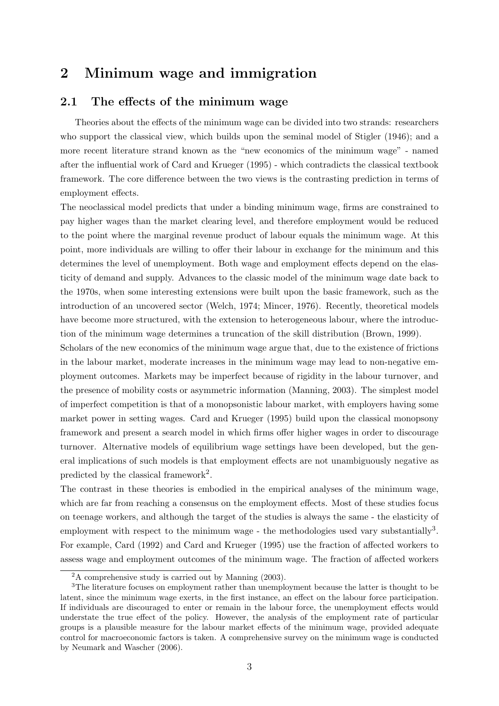## 2 Minimum wage and immigration

### 2.1 The effects of the minimum wage

Theories about the effects of the minimum wage can be divided into two strands: researchers who support the classical view, which builds upon the seminal model of [Stigler](#page-22-1) [\(1946\)](#page-22-1); and a more recent literature strand known as the "new economics of the minimum wage" - named after the influential work of [Card and Krueger](#page-21-2) [\(1995\)](#page-21-2) - which contradicts the classical textbook framework. The core difference between the two views is the contrasting prediction in terms of employment effects.

The neoclassical model predicts that under a binding minimum wage, firms are constrained to pay higher wages than the market clearing level, and therefore employment would be reduced to the point where the marginal revenue product of labour equals the minimum wage. At this point, more individuals are willing to offer their labour in exchange for the minimum and this determines the level of unemployment. Both wage and employment effects depend on the elasticity of demand and supply. Advances to the classic model of the minimum wage date back to the 1970s, when some interesting extensions were built upon the basic framework, such as the introduction of an uncovered sector [\(Welch,](#page-22-2) [1974;](#page-22-2) [Mincer,](#page-22-3) [1976\)](#page-22-3). Recently, theoretical models have become more structured, with the extension to heterogeneous labour, where the introduction of the minimum wage determines a truncation of the skill distribution [\(Brown,](#page-21-3) [1999\)](#page-21-3).

Scholars of the new economics of the minimum wage argue that, due to the existence of frictions in the labour market, moderate increases in the minimum wage may lead to non-negative employment outcomes. Markets may be imperfect because of rigidity in the labour turnover, and the presence of mobility costs or asymmetric information [\(Manning,](#page-21-1) [2003\)](#page-21-1). The simplest model of imperfect competition is that of a monopsonistic labour market, with employers having some market power in setting wages. [Card and Krueger](#page-21-2) [\(1995\)](#page-21-2) build upon the classical monopsony framework and present a search model in which firms offer higher wages in order to discourage turnover. Alternative models of equilibrium wage settings have been developed, but the general implications of such models is that employment effects are not unambiguously negative as predicted by the classical framework<sup>[2](#page-4-0)</sup>.

The contrast in these theories is embodied in the empirical analyses of the minimum wage, which are far from reaching a consensus on the employment effects. Most of these studies focus on teenage workers, and although the target of the studies is always the same - the elasticity of employment with respect to the minimum wage - the methodologies used vary substantially<sup>[3](#page-4-1)</sup>. For example, [Card](#page-21-4) [\(1992\)](#page-21-4) and [Card and Krueger](#page-21-2) [\(1995\)](#page-21-2) use the fraction of affected workers to assess wage and employment outcomes of the minimum wage. The fraction of affected workers

<span id="page-4-1"></span><span id="page-4-0"></span><sup>2</sup>A comprehensive study is carried out by [Manning](#page-21-1) [\(2003\)](#page-21-1).

<sup>3</sup>The literature focuses on employment rather than unemployment because the latter is thought to be latent, since the minimum wage exerts, in the first instance, an effect on the labour force participation. If individuals are discouraged to enter or remain in the labour force, the unemployment effects would understate the true effect of the policy. However, the analysis of the employment rate of particular groups is a plausible measure for the labour market effects of the minimum wage, provided adequate control for macroeconomic factors is taken. A comprehensive survey on the minimum wage is conducted by [Neumark and Wascher](#page-22-4) [\(2006\)](#page-22-4).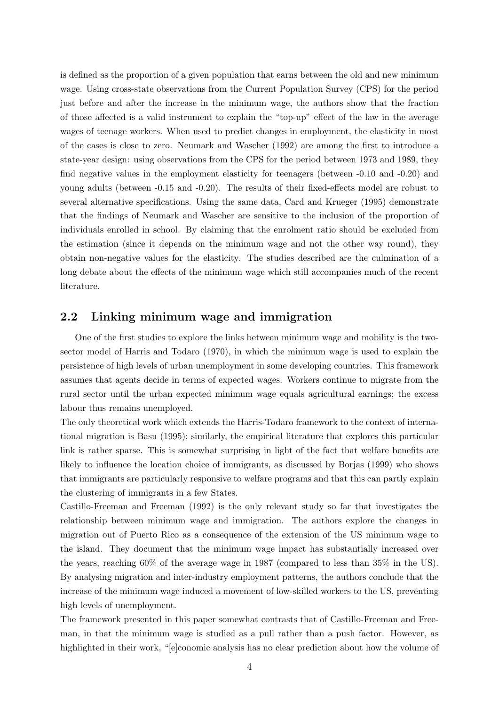is defined as the proportion of a given population that earns between the old and new minimum wage. Using cross-state observations from the Current Population Survey (CPS) for the period just before and after the increase in the minimum wage, the authors show that the fraction of those affected is a valid instrument to explain the "top-up" effect of the law in the average wages of teenage workers. When used to predict changes in employment, the elasticity in most of the cases is close to zero. [Neumark and Wascher](#page-22-5) [\(1992\)](#page-22-5) are among the first to introduce a state-year design: using observations from the CPS for the period between 1973 and 1989, they find negative values in the employment elasticity for teenagers (between -0.10 and -0.20) and young adults (between -0.15 and -0.20). The results of their fixed-effects model are robust to several alternative specifications. Using the same data, [Card and Krueger](#page-21-2) [\(1995\)](#page-21-2) demonstrate that the findings of Neumark and Wascher are sensitive to the inclusion of the proportion of individuals enrolled in school. By claiming that the enrolment ratio should be excluded from the estimation (since it depends on the minimum wage and not the other way round), they obtain non-negative values for the elasticity. The studies described are the culmination of a long debate about the effects of the minimum wage which still accompanies much of the recent literature.

### 2.2 Linking minimum wage and immigration

One of the first studies to explore the links between minimum wage and mobility is the twosector model of [Harris and Todaro](#page-21-5) [\(1970\)](#page-21-5), in which the minimum wage is used to explain the persistence of high levels of urban unemployment in some developing countries. This framework assumes that agents decide in terms of expected wages. Workers continue to migrate from the rural sector until the urban expected minimum wage equals agricultural earnings; the excess labour thus remains unemployed.

The only theoretical work which extends the Harris-Todaro framework to the context of international migration is [Basu](#page-21-6) [\(1995\)](#page-21-6); similarly, the empirical literature that explores this particular link is rather sparse. This is somewhat surprising in light of the fact that welfare benefits are likely to influence the location choice of immigrants, as discussed by [Borjas](#page-21-7) [\(1999\)](#page-21-7) who shows that immigrants are particularly responsive to welfare programs and that this can partly explain the clustering of immigrants in a few States.

[Castillo-Freeman and Freeman](#page-21-8) [\(1992\)](#page-21-8) is the only relevant study so far that investigates the relationship between minimum wage and immigration. The authors explore the changes in migration out of Puerto Rico as a consequence of the extension of the US minimum wage to the island. They document that the minimum wage impact has substantially increased over the years, reaching 60% of the average wage in 1987 (compared to less than 35% in the US). By analysing migration and inter-industry employment patterns, the authors conclude that the increase of the minimum wage induced a movement of low-skilled workers to the US, preventing high levels of unemployment.

The framework presented in this paper somewhat contrasts that of Castillo-Freeman and Freeman, in that the minimum wage is studied as a pull rather than a push factor. However, as highlighted in their work, "[e]conomic analysis has no clear prediction about how the volume of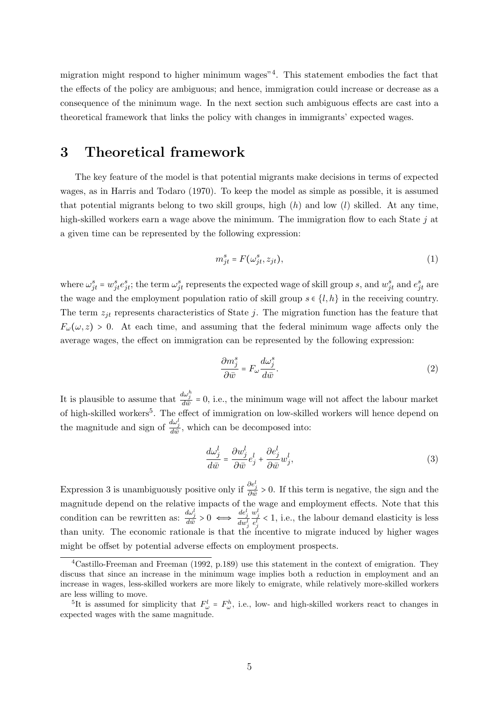migration might respond to higher minimum wages"[4](#page-6-0) . This statement embodies the fact that the effects of the policy are ambiguous; and hence, immigration could increase or decrease as a consequence of the minimum wage. In the next section such ambiguous effects are cast into a theoretical framework that links the policy with changes in immigrants' expected wages.

### 3 Theoretical framework

The key feature of the model is that potential migrants make decisions in terms of expected wages, as in [Harris and Todaro](#page-21-5) [\(1970\)](#page-21-5). To keep the model as simple as possible, it is assumed that potential migrants belong to two skill groups, high  $(h)$  and low  $(l)$  skilled. At any time, high-skilled workers earn a wage above the minimum. The immigration flow to each State  $j$  at a given time can be represented by the following expression:

<span id="page-6-3"></span>
$$
m_{jt}^s = F(\omega_{jt}^s, z_{jt}),\tag{1}
$$

where  $\omega_{jt}^s = w_{jt}^s e_{jt}^s$ ; the term  $\omega_{jt}^s$  represents the expected wage of skill group s, and  $w_{jt}^s$  and  $e_{jt}^s$  are the wage and the employment population ratio of skill group  $s \in \{l, h\}$  in the receiving country. The term  $z_{it}$  represents characteristics of State j. The migration function has the feature that  $F_{\omega}(\omega, z) > 0$ . At each time, and assuming that the federal minimum wage affects only the average wages, the effect on immigration can be represented by the following expression:

<span id="page-6-2"></span>
$$
\frac{\partial m_j^s}{\partial \bar{w}} = F_{\omega} \frac{d\omega_j^s}{d\bar{w}}.
$$
\n(2)

It is plausible to assume that  $\frac{d\omega_j^h}{d\bar{w}} = 0$ , i.e., the minimum wage will not affect the labour market of high-skilled workers<sup>[5](#page-6-1)</sup>. The effect of immigration on low-skilled workers will hence depend on the magnitude and sign of  $\frac{d\omega_j^l}{d\bar{w}}$ , which can be decomposed into:

$$
\frac{d\omega_j^l}{d\bar{w}} = \frac{\partial w_j^l}{\partial \bar{w}} e_j^l + \frac{\partial e_j^l}{\partial \bar{w}} w_j^l,
$$
\n(3)

Expression [3](#page-6-2) is unambiguously positive only if  $\frac{\partial e_j^l}{\partial \bar{w}} > 0$ . If this term is negative, the sign and the magnitude depend on the relative impacts of the wage and employment effects. Note that this condition can be rewritten as:  $\frac{d\omega_j^l}{d\bar{w}} > 0 \iff \frac{de_j^l}{dw_j^l}$  $\frac{w_j^l}{e_j^l}$  < 1, i.e., the labour demand elasticity is less than unity. The economic rationale is that the incentive to migrate induced by higher wages might be offset by potential adverse effects on employment prospects.

<span id="page-6-0"></span><sup>&</sup>lt;sup>4</sup>[Castillo-Freeman and Freeman](#page-21-8) [\(1992,](#page-21-8) p.189) use this statement in the context of emigration. They discuss that since an increase in the minimum wage implies both a reduction in employment and an increase in wages, less-skilled workers are more likely to emigrate, while relatively more-skilled workers are less willing to move.

<span id="page-6-1"></span><sup>&</sup>lt;sup>5</sup>It is assumed for simplicity that  $F_{\omega}^l = F_{\omega}^h$ , i.e., low- and high-skilled workers react to changes in expected wages with the same magnitude.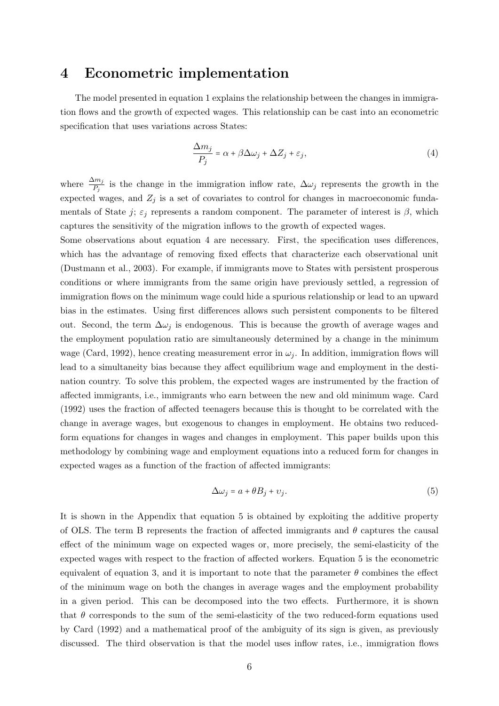### 4 Econometric implementation

The model presented in equation [1](#page-6-3) explains the relationship between the changes in immigration flows and the growth of expected wages. This relationship can be cast into an econometric specification that uses variations across States:

<span id="page-7-0"></span>
$$
\frac{\Delta m_j}{P_j} = \alpha + \beta \Delta \omega_j + \Delta Z_j + \varepsilon_j,
$$
\n(4)

where  $\frac{\Delta m_j}{P_j}$  is the change in the immigration inflow rate,  $\Delta \omega_j$  represents the growth in the expected wages, and  $Z_j$  is a set of covariates to control for changes in macroeconomic fundamentals of State j;  $\varepsilon_j$  represents a random component. The parameter of interest is  $\beta$ , which captures the sensitivity of the migration inflows to the growth of expected wages.

Some observations about equation [4](#page-7-0) are necessary. First, the specification uses differences, which has the advantage of removing fixed effects that characterize each observational unit [\(Dustmann et al.,](#page-21-9) [2003\)](#page-21-9). For example, if immigrants move to States with persistent prosperous conditions or where immigrants from the same origin have previously settled, a regression of immigration flows on the minimum wage could hide a spurious relationship or lead to an upward bias in the estimates. Using first differences allows such persistent components to be filtered out. Second, the term  $\Delta\omega_i$  is endogenous. This is because the growth of average wages and the employment population ratio are simultaneously determined by a change in the minimum wage [\(Card,](#page-21-4) [1992\)](#page-21-4), hence creating measurement error in  $\omega_j$ . In addition, immigration flows will lead to a simultaneity bias because they affect equilibrium wage and employment in the destination country. To solve this problem, the expected wages are instrumented by the fraction of affected immigrants, i.e., immigrants who earn between the new and old minimum wage. [Card](#page-21-4) [\(1992\)](#page-21-4) uses the fraction of affected teenagers because this is thought to be correlated with the change in average wages, but exogenous to changes in employment. He obtains two reducedform equations for changes in wages and changes in employment. This paper builds upon this methodology by combining wage and employment equations into a reduced form for changes in expected wages as a function of the fraction of affected immigrants:

<span id="page-7-1"></span>
$$
\Delta \omega_j = a + \theta B_j + \upsilon_j. \tag{5}
$$

It is shown in the Appendix that equation [5](#page-7-1) is obtained by exploiting the additive property of OLS. The term B represents the fraction of affected immigrants and  $\theta$  captures the causal effect of the minimum wage on expected wages or, more precisely, the semi-elasticity of the expected wages with respect to the fraction of affected workers. Equation [5](#page-7-1) is the econometric equivalent of equation [3,](#page-6-2) and it is important to note that the parameter  $\theta$  combines the effect of the minimum wage on both the changes in average wages and the employment probability in a given period. This can be decomposed into the two effects. Furthermore, it is shown that  $\theta$  corresponds to the sum of the semi-elasticity of the two reduced-form equations used by [Card](#page-21-4) [\(1992\)](#page-21-4) and a mathematical proof of the ambiguity of its sign is given, as previously discussed. The third observation is that the model uses inflow rates, i.e., immigration flows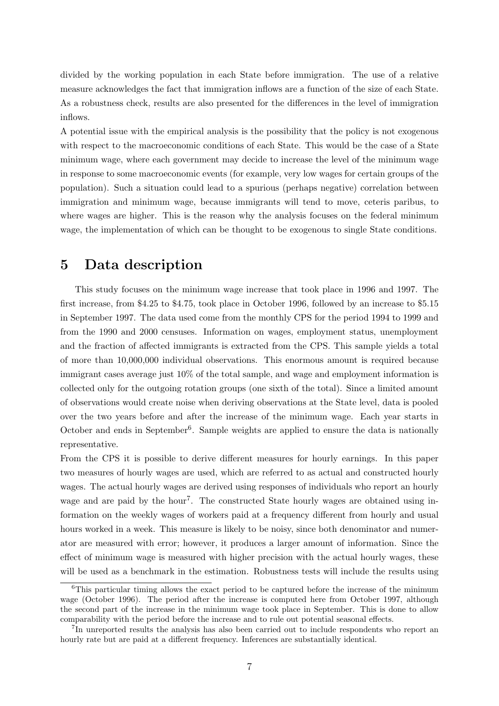divided by the working population in each State before immigration. The use of a relative measure acknowledges the fact that immigration inflows are a function of the size of each State. As a robustness check, results are also presented for the differences in the level of immigration inflows.

A potential issue with the empirical analysis is the possibility that the policy is not exogenous with respect to the macroeconomic conditions of each State. This would be the case of a State minimum wage, where each government may decide to increase the level of the minimum wage in response to some macroeconomic events (for example, very low wages for certain groups of the population). Such a situation could lead to a spurious (perhaps negative) correlation between immigration and minimum wage, because immigrants will tend to move, ceteris paribus, to where wages are higher. This is the reason why the analysis focuses on the federal minimum wage, the implementation of which can be thought to be exogenous to single State conditions.

### 5 Data description

This study focuses on the minimum wage increase that took place in 1996 and 1997. The first increase, from \$4.25 to \$4.75, took place in October 1996, followed by an increase to \$5.15 in September 1997. The data used come from the monthly CPS for the period 1994 to 1999 and from the 1990 and 2000 censuses. Information on wages, employment status, unemployment and the fraction of affected immigrants is extracted from the CPS. This sample yields a total of more than 10,000,000 individual observations. This enormous amount is required because immigrant cases average just 10% of the total sample, and wage and employment information is collected only for the outgoing rotation groups (one sixth of the total). Since a limited amount of observations would create noise when deriving observations at the State level, data is pooled over the two years before and after the increase of the minimum wage. Each year starts in October and ends in September<sup>[6](#page-8-0)</sup>. Sample weights are applied to ensure the data is nationally representative.

From the CPS it is possible to derive different measures for hourly earnings. In this paper two measures of hourly wages are used, which are referred to as actual and constructed hourly wages. The actual hourly wages are derived using responses of individuals who report an hourly wage and are paid by the hour<sup>[7](#page-8-1)</sup>. The constructed State hourly wages are obtained using information on the weekly wages of workers paid at a frequency different from hourly and usual hours worked in a week. This measure is likely to be noisy, since both denominator and numerator are measured with error; however, it produces a larger amount of information. Since the effect of minimum wage is measured with higher precision with the actual hourly wages, these will be used as a benchmark in the estimation. Robustness tests will include the results using

<span id="page-8-0"></span><sup>&</sup>lt;sup>6</sup>This particular timing allows the exact period to be captured before the increase of the minimum wage (October 1996). The period after the increase is computed here from October 1997, although the second part of the increase in the minimum wage took place in September. This is done to allow comparability with the period before the increase and to rule out potential seasonal effects.

<span id="page-8-1"></span><sup>&</sup>lt;sup>7</sup>In unreported results the analysis has also been carried out to include respondents who report an hourly rate but are paid at a different frequency. Inferences are substantially identical.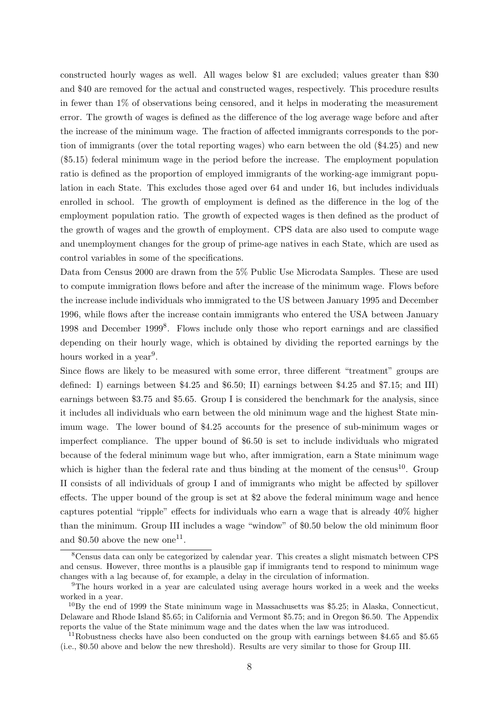constructed hourly wages as well. All wages below \$1 are excluded; values greater than \$30 and \$40 are removed for the actual and constructed wages, respectively. This procedure results in fewer than 1% of observations being censored, and it helps in moderating the measurement error. The growth of wages is defined as the difference of the log average wage before and after the increase of the minimum wage. The fraction of affected immigrants corresponds to the portion of immigrants (over the total reporting wages) who earn between the old (\$4.25) and new (\$5.15) federal minimum wage in the period before the increase. The employment population ratio is defined as the proportion of employed immigrants of the working-age immigrant population in each State. This excludes those aged over 64 and under 16, but includes individuals enrolled in school. The growth of employment is defined as the difference in the log of the employment population ratio. The growth of expected wages is then defined as the product of the growth of wages and the growth of employment. CPS data are also used to compute wage and unemployment changes for the group of prime-age natives in each State, which are used as control variables in some of the specifications.

Data from Census 2000 are drawn from the 5% Public Use Microdata Samples. These are used to compute immigration flows before and after the increase of the minimum wage. Flows before the increase include individuals who immigrated to the US between January 1995 and December 1996, while flows after the increase contain immigrants who entered the USA between January 1998 and December 1999[8](#page-9-0) . Flows include only those who report earnings and are classified depending on their hourly wage, which is obtained by dividing the reported earnings by the hours worked in a year<sup>[9](#page-9-1)</sup>.

Since flows are likely to be measured with some error, three different "treatment" groups are defined: I) earnings between \$4.25 and \$6.50; II) earnings between \$4.25 and \$7.15; and III) earnings between \$3.75 and \$5.65. Group I is considered the benchmark for the analysis, since it includes all individuals who earn between the old minimum wage and the highest State minimum wage. The lower bound of \$4.25 accounts for the presence of sub-minimum wages or imperfect compliance. The upper bound of \$6.50 is set to include individuals who migrated because of the federal minimum wage but who, after immigration, earn a State minimum wage which is higher than the federal rate and thus binding at the moment of the census<sup>[10](#page-9-2)</sup>. Group II consists of all individuals of group I and of immigrants who might be affected by spillover effects. The upper bound of the group is set at \$2 above the federal minimum wage and hence captures potential "ripple" effects for individuals who earn a wage that is already 40% higher than the minimum. Group III includes a wage "window" of \$0.50 below the old minimum floor and \$0.50 above the new one<sup>[11](#page-9-3)</sup>.

<span id="page-9-0"></span><sup>8</sup>Census data can only be categorized by calendar year. This creates a slight mismatch between CPS and census. However, three months is a plausible gap if immigrants tend to respond to minimum wage changes with a lag because of, for example, a delay in the circulation of information.

<span id="page-9-1"></span><sup>&</sup>lt;sup>9</sup>The hours worked in a year are calculated using average hours worked in a week and the weeks worked in a year.

<span id="page-9-2"></span> $^{10}$ By the end of 1999 the State minimum wage in Massachusetts was \$5.25; in Alaska, Connecticut, Delaware and Rhode Island \$5.65; in California and Vermont \$5.75; and in Oregon \$6.50. The Appendix reports the value of the State minimum wage and the dates when the law was introduced.

<span id="page-9-3"></span><sup>11</sup>Robustness checks have also been conducted on the group with earnings between \$4.65 and \$5.65 (i.e., \$0.50 above and below the new threshold). Results are very similar to those for Group III.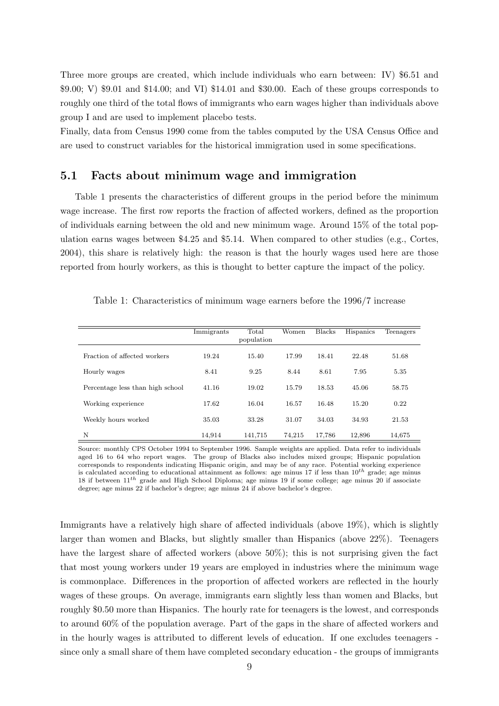Three more groups are created, which include individuals who earn between: IV) \$6.51 and \$9.00; V) \$9.01 and \$14.00; and VI) \$14.01 and \$30.00. Each of these groups corresponds to roughly one third of the total flows of immigrants who earn wages higher than individuals above group I and are used to implement placebo tests.

Finally, data from Census 1990 come from the tables computed by the USA Census Office and are used to construct variables for the historical immigration used in some specifications.

#### 5.1 Facts about minimum wage and immigration

Table [1](#page-10-0) presents the characteristics of different groups in the period before the minimum wage increase. The first row reports the fraction of affected workers, defined as the proportion of individuals earning between the old and new minimum wage. Around 15% of the total population earns wages between \$4.25 and \$5.14. When compared to other studies (e.g., [Cortes,](#page-21-10) [2004\)](#page-21-10), this share is relatively high: the reason is that the hourly wages used here are those reported from hourly workers, as this is thought to better capture the impact of the policy.

|                                  | Immigrants | Total      | Women  | <b>Blacks</b> | Hispanics | Teenagers |
|----------------------------------|------------|------------|--------|---------------|-----------|-----------|
|                                  |            | population |        |               |           |           |
| Fraction of affected workers     | 19.24      | 15.40      | 17.99  | 18.41         | 22.48     | 51.68     |
| Hourly wages                     | 8.41       | 9.25       | 8.44   | 8.61          | 7.95      | 5.35      |
| Percentage less than high school | 41.16      | 19.02      | 15.79  | 18.53         | 45.06     | 58.75     |
| Working experience               | 17.62      | 16.04      | 16.57  | 16.48         | 15.20     | 0.22      |
| Weekly hours worked              | 35.03      | 33.28      | 31.07  | 34.03         | 34.93     | 21.53     |
| N                                | 14.914     | 141.715    | 74.215 | 17,786        | 12.896    | 14.675    |

<span id="page-10-0"></span>Table 1: Characteristics of minimum wage earners before the 1996/7 increase

Source: monthly CPS October 1994 to September 1996. Sample weights are applied. Data refer to individuals aged 16 to 64 who report wages. The group of Blacks also includes mixed groups; Hispanic population corresponds to respondents indicating Hispanic origin, and may be of any race. Potential working experience is calculated according to educational attainment as follows: age minus 17 if less than  $10^{th}$  grade; age minus 18 if between 11th grade and High School Diploma; age minus 19 if some college; age minus 20 if associate degree; age minus 22 if bachelor's degree; age minus 24 if above bachelor's degree.

Immigrants have a relatively high share of affected individuals (above 19%), which is slightly larger than women and Blacks, but slightly smaller than Hispanics (above 22%). Teenagers have the largest share of affected workers (above 50%); this is not surprising given the fact that most young workers under 19 years are employed in industries where the minimum wage is commonplace. Differences in the proportion of affected workers are reflected in the hourly wages of these groups. On average, immigrants earn slightly less than women and Blacks, but roughly \$0.50 more than Hispanics. The hourly rate for teenagers is the lowest, and corresponds to around 60% of the population average. Part of the gaps in the share of affected workers and in the hourly wages is attributed to different levels of education. If one excludes teenagers since only a small share of them have completed secondary education - the groups of immigrants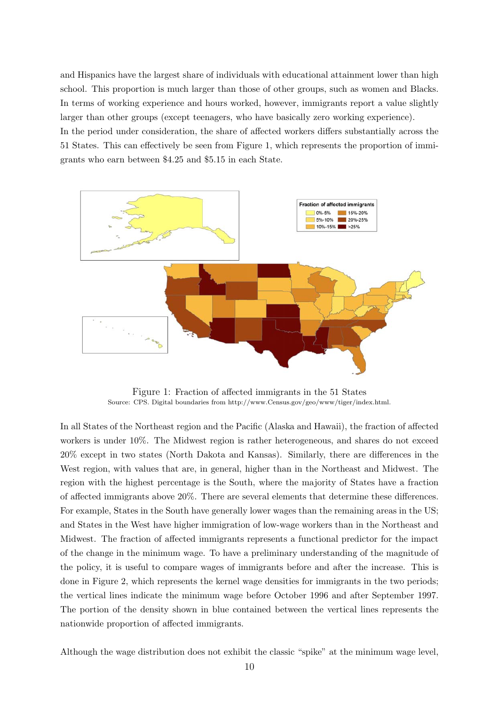and Hispanics have the largest share of individuals with educational attainment lower than high school. This proportion is much larger than those of other groups, such as women and Blacks. In terms of working experience and hours worked, however, immigrants report a value slightly larger than other groups (except teenagers, who have basically zero working experience). In the period under consideration, the share of affected workers differs substantially across the

51 States. This can effectively be seen from Figure [1,](#page-11-0) which represents the proportion of immigrants who earn between \$4.25 and \$5.15 in each State.

<span id="page-11-0"></span>

Figure 1: Fraction of affected immigrants in the 51 States Source: CPS. Digital boundaries from [http://www.Census.gov/geo/www/tiger/index.html.](http://www.Census.gov/geo/www/tiger/index.html)

In all States of the Northeast region and the Pacific (Alaska and Hawaii), the fraction of affected workers is under 10%. The Midwest region is rather heterogeneous, and shares do not exceed 20% except in two states (North Dakota and Kansas). Similarly, there are differences in the West region, with values that are, in general, higher than in the Northeast and Midwest. The region with the highest percentage is the South, where the majority of States have a fraction of affected immigrants above 20%. There are several elements that determine these differences. For example, States in the South have generally lower wages than the remaining areas in the US; and States in the West have higher immigration of low-wage workers than in the Northeast and Midwest. The fraction of affected immigrants represents a functional predictor for the impact of the change in the minimum wage. To have a preliminary understanding of the magnitude of the policy, it is useful to compare wages of immigrants before and after the increase. This is done in Figure [2,](#page-12-0) which represents the kernel wage densities for immigrants in the two periods; the vertical lines indicate the minimum wage before October 1996 and after September 1997. The portion of the density shown in blue contained between the vertical lines represents the nationwide proportion of affected immigrants.

Although the wage distribution does not exhibit the classic "spike" at the minimum wage level,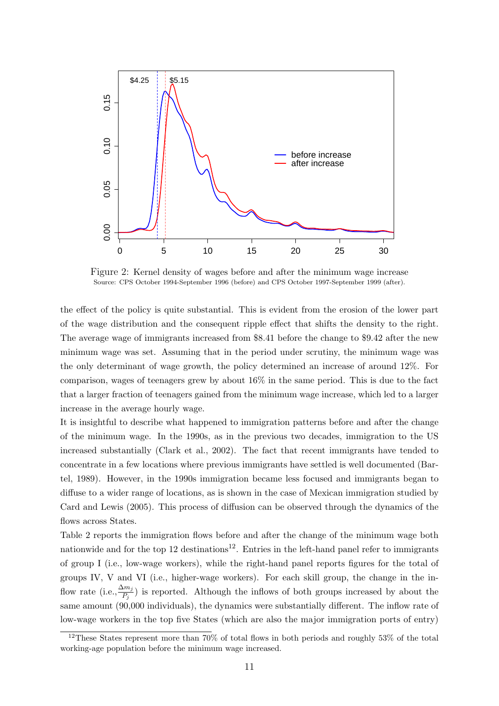<span id="page-12-0"></span>

Figure 2: Kernel density of wages before and after the minimum wage increase Source: CPS October 1994-September 1996 (before) and CPS October 1997-September 1999 (after).

the effect of the policy is quite substantial. This is evident from the erosion of the lower part of the wage distribution and the consequent ripple effect that shifts the density to the right. The average wage of immigrants increased from \$8.41 before the change to \$9.42 after the new minimum wage was set. Assuming that in the period under scrutiny, the minimum wage was the only determinant of wage growth, the policy determined an increase of around 12%. For comparison, wages of teenagers grew by about 16% in the same period. This is due to the fact that a larger fraction of teenagers gained from the minimum wage increase, which led to a larger increase in the average hourly wage.

It is insightful to describe what happened to immigration patterns before and after the change of the minimum wage. In the 1990s, as in the previous two decades, immigration to the US increased substantially [\(Clark et al.,](#page-21-0) [2002\)](#page-21-0). The fact that recent immigrants have tended to concentrate in a few locations where previous immigrants have settled is well documented [\(Bar](#page-21-11)[tel,](#page-21-11) [1989\)](#page-21-11). However, in the 1990s immigration became less focused and immigrants began to diffuse to a wider range of locations, as is shown in the case of Mexican immigration studied by [Card and Lewis](#page-21-12) [\(2005\)](#page-21-12). This process of diffusion can be observed through the dynamics of the flows across States.

Table [2](#page-13-0) reports the immigration flows before and after the change of the minimum wage both nationwide and for the top [12](#page-12-1) destinations<sup>12</sup>. Entries in the left-hand panel refer to immigrants of group I (i.e., low-wage workers), while the right-hand panel reports figures for the total of groups IV, V and VI (i.e., higher-wage workers). For each skill group, the change in the inflow rate (i.e.,  $\frac{\Delta m_j}{P_j}$ ) is reported. Although the inflows of both groups increased by about the same amount (90,000 individuals), the dynamics were substantially different. The inflow rate of low-wage workers in the top five States (which are also the major immigration ports of entry)

<span id="page-12-1"></span><sup>&</sup>lt;sup>12</sup>These States represent more than 70% of total flows in both periods and roughly 53% of the total working-age population before the minimum wage increased.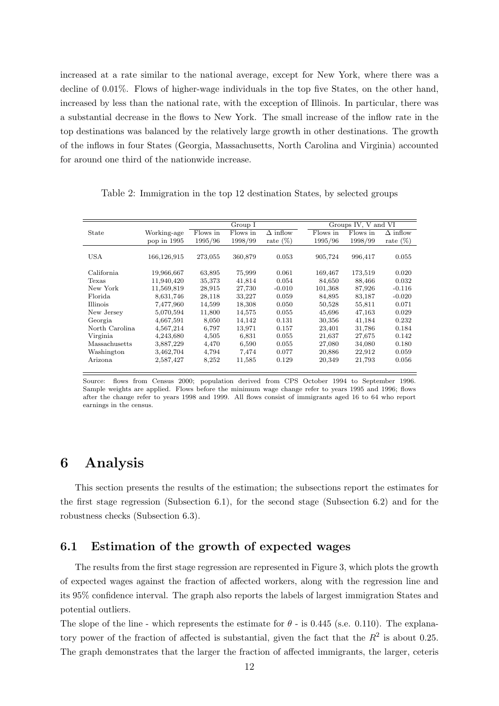increased at a rate similar to the national average, except for New York, where there was a decline of 0.01%. Flows of higher-wage individuals in the top five States, on the other hand, increased by less than the national rate, with the exception of Illinois. In particular, there was a substantial decrease in the flows to New York. The small increase of the inflow rate in the top destinations was balanced by the relatively large growth in other destinations. The growth of the inflows in four States (Georgia, Massachusetts, North Carolina and Virginia) accounted for around one third of the nationwide increase.

<span id="page-13-0"></span>Table 2: Immigration in the top 12 destination States, by selected groups

|                |             |          | Group I  |                            |          | Groups IV, V and VI |                 |
|----------------|-------------|----------|----------|----------------------------|----------|---------------------|-----------------|
| State          | Working-age | Flows in | Flows in | $\overline{\Delta}$ inflow | Flows in | Flows in            | $\Delta$ inflow |
|                | pop in 1995 | 1995/96  | 1998/99  | rate $(\%)$                | 1995/96  | 1998/99             | rate $(\%)$     |
|                |             |          |          |                            |          |                     |                 |
| USA            | 166,126,915 | 273,055  | 360,879  | 0.053                      | 905,724  | 996,417             | 0.055           |
|                |             |          |          |                            |          |                     |                 |
| California     | 19,966,667  | 63,895   | 75,999   | 0.061                      | 169,467  | 173,519             | 0.020           |
| Texas          | 11,940,420  | 35,373   | 41,814   | 0.054                      | 84.650   | 88,466              | 0.032           |
| New York       | 11,569,819  | 28,915   | 27,730   | $-0.010$                   | 101,368  | 87,926              | $-0.116$        |
| Florida        | 8,631,746   | 28,118   | 33,227   | 0.059                      | 84,895   | 83,187              | $-0.020$        |
| Illinois       | 7,477,960   | 14,599   | 18,308   | 0.050                      | 50,528   | 55,811              | 0.071           |
| New Jersey     | 5,070,594   | 11,800   | 14,575   | 0.055                      | 45,696   | 47,163              | 0.029           |
| Georgia        | 4,667,591   | 8,050    | 14,142   | 0.131                      | 30,356   | 41,184              | 0.232           |
| North Carolina | 4,567,214   | 6,797    | 13,971   | 0.157                      | 23,401   | 31,786              | 0.184           |
| Virginia       | 4,243,680   | 4,505    | 6,831    | 0.055                      | 21,637   | 27,675              | 0.142           |
| Massachusetts  | 3,887,229   | 4,470    | 6,590    | 0.055                      | 27,080   | 34,080              | 0.180           |
| Washington     | 3,462,704   | 4,794    | 7,474    | 0.077                      | 20,886   | 22,912              | 0.059           |
| Arizona        | 2,587,427   | 8,252    | 11,585   | 0.129                      | 20,349   | 21,793              | 0.056           |
|                |             |          |          |                            |          |                     |                 |

Source: flows from Census 2000; population derived from CPS October 1994 to September 1996. Sample weights are applied. Flows before the minimum wage change refer to years 1995 and 1996; flows after the change refer to years 1998 and 1999. All flows consist of immigrants aged 16 to 64 who report earnings in the census.

### 6 Analysis

This section presents the results of the estimation; the subsections report the estimates for the first stage regression (Subsection 6.1), for the second stage (Subsection 6.2) and for the robustness checks (Subsection 6.3).

### 6.1 Estimation of the growth of expected wages

The results from the first stage regression are represented in Figure [3,](#page-14-0) which plots the growth of expected wages against the fraction of affected workers, along with the regression line and its 95% confidence interval. The graph also reports the labels of largest immigration States and potential outliers.

The slope of the line - which represents the estimate for  $\theta$  - is 0.445 (s.e. 0.110). The explanatory power of the fraction of affected is substantial, given the fact that the  $R^2$  is about 0.25. The graph demonstrates that the larger the fraction of affected immigrants, the larger, ceteris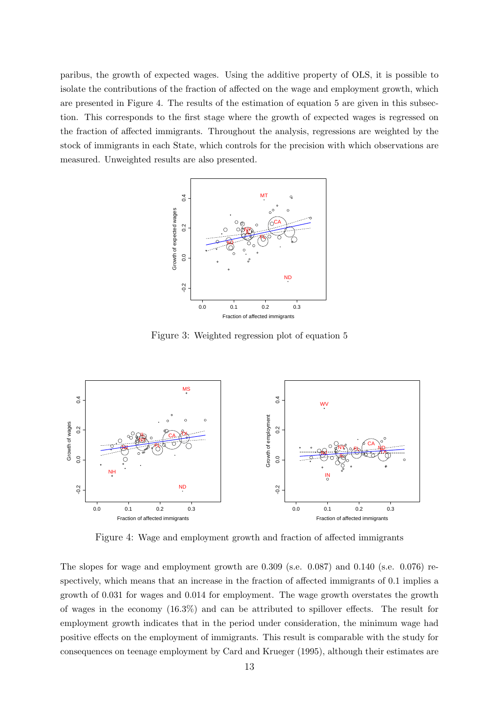<span id="page-14-0"></span>paribus, the growth of expected wages. Using the additive property of OLS, it is possible to isolate the contributions of the fraction of affected on the wage and employment growth, which are presented in Figure [4.](#page-14-1) The results of the estimation of equation [5](#page-7-1) are given in this subsection. This corresponds to the first stage where the growth of expected wages is regressed on the fraction of affected immigrants. Throughout the analysis, regressions are weighted by the stock of immigrants in each State, which controls for the precision with which observations are measured. Unweighted results are also presented.



Figure 3: Weighted regression plot of equation [5](#page-7-1)

<span id="page-14-1"></span>

Figure 4: Wage and employment growth and fraction of affected immigrants

The slopes for wage and employment growth are 0.309 (s.e. 0.087) and 0.140 (s.e. 0.076) respectively, which means that an increase in the fraction of affected immigrants of 0.1 implies a growth of 0.031 for wages and 0.014 for employment. The wage growth overstates the growth of wages in the economy (16.3%) and can be attributed to spillover effects. The result for employment growth indicates that in the period under consideration, the minimum wage had positive effects on the employment of immigrants. This result is comparable with the study for consequences on teenage employment by [Card and Krueger](#page-21-2) [\(1995\)](#page-21-2), although their estimates are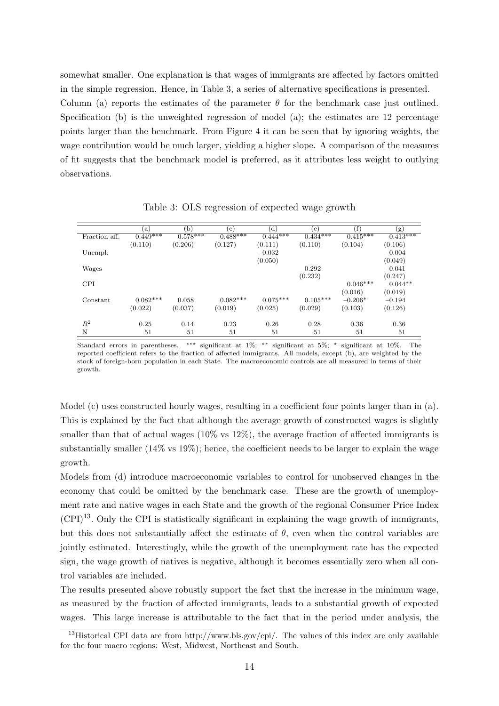somewhat smaller. One explanation is that wages of immigrants are affected by factors omitted in the simple regression. Hence, in Table [3,](#page-15-0) a series of alternative specifications is presented. Column (a) reports the estimates of the parameter  $\theta$  for the benchmark case just outlined. Specification (b) is the unweighted regression of model (a); the estimates are 12 percentage points larger than the benchmark. From Figure [4](#page-14-1) it can be seen that by ignoring weights, the wage contribution would be much larger, yielding a higher slope. A comparison of the measures of fit suggests that the benchmark model is preferred, as it attributes less weight to outlying observations.

<span id="page-15-0"></span>

|                | (a)        | 'b)        | $\epsilon$ ) | (d)        | (e)        | (f`        | (g)        |
|----------------|------------|------------|--------------|------------|------------|------------|------------|
| Fraction aff.  | $0.449***$ | $0.578***$ | $0.488***$   | $0.444***$ | $0.434***$ | $0.415***$ | $0.413***$ |
|                | (0.110)    | (0.206)    | (0.127)      | (0.111)    | (0.110)    | (0.104)    | (0.106)    |
| Unempl.        |            |            |              | $-0.032$   |            |            | $-0.004$   |
|                |            |            |              | (0.050)    |            |            | (0.049)    |
| Wages          |            |            |              |            | $-0.292$   |            | $-0.041$   |
|                |            |            |              |            | (0.232)    |            | (0.247)    |
| <b>CPI</b>     |            |            |              |            |            | $0.046***$ | $0.044**$  |
|                |            |            |              |            |            | (0.016)    | (0.019)    |
| Constant       | $0.082***$ | 0.058      | $0.082***$   | $0.075***$ | $0.105***$ | $-0.206*$  | $-0.194$   |
|                | (0.022)    | (0.037)    | (0.019)      | (0.025)    | (0.029)    | (0.103)    | (0.126)    |
| $\mathbb{R}^2$ | 0.25       | 0.14       | 0.23         | 0.26       | 0.28       | 0.36       | 0.36       |
| N              | 51         | 51         | 51           | 51         | 51         | 51         | 51         |

Table 3: OLS regression of expected wage growth

Standard errors in parentheses. ∗∗∗ significant at 1%; ∗∗ significant at 5%; <sup>∗</sup> significant at 10%. The reported coefficient refers to the fraction of affected immigrants. All models, except (b), are weighted by the stock of foreign-born population in each State. The macroeconomic controls are all measured in terms of their growth.

Model (c) uses constructed hourly wages, resulting in a coefficient four points larger than in (a). This is explained by the fact that although the average growth of constructed wages is slightly smaller than that of actual wages  $(10\% \text{ vs } 12\%)$ , the average fraction of affected immigrants is substantially smaller (14% vs 19%); hence, the coefficient needs to be larger to explain the wage growth.

Models from (d) introduce macroeconomic variables to control for unobserved changes in the economy that could be omitted by the benchmark case. These are the growth of unemployment rate and native wages in each State and the growth of the regional Consumer Price Index  $(CPI)^{13}$  $(CPI)^{13}$  $(CPI)^{13}$ . Only the CPI is statistically significant in explaining the wage growth of immigrants, but this does not substantially affect the estimate of  $\theta$ , even when the control variables are jointly estimated. Interestingly, while the growth of the unemployment rate has the expected sign, the wage growth of natives is negative, although it becomes essentially zero when all control variables are included.

The results presented above robustly support the fact that the increase in the minimum wage, as measured by the fraction of affected immigrants, leads to a substantial growth of expected wages. This large increase is attributable to the fact that in the period under analysis, the

<span id="page-15-1"></span><sup>&</sup>lt;sup>13</sup>Historical CPI data are from [http://www.bls.gov/cpi/.](http://www.bls.gov/cpi/) The values of this index are only available for the four macro regions: West, Midwest, Northeast and South.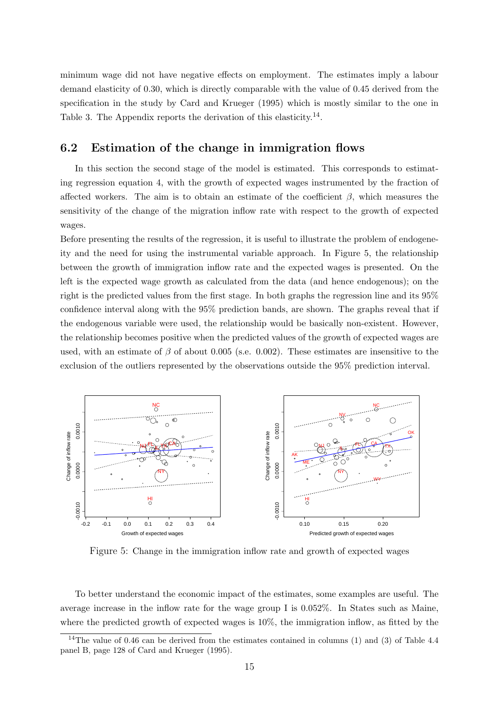minimum wage did not have negative effects on employment. The estimates imply a labour demand elasticity of 0.30, which is directly comparable with the value of 0.45 derived from the specification in the study by [Card and Krueger](#page-21-2) [\(1995\)](#page-21-2) which is mostly similar to the one in Table [3.](#page-15-0) The Appendix reports the derivation of this elasticity.<sup>[14](#page-16-0)</sup>.

### 6.2 Estimation of the change in immigration flows

In this section the second stage of the model is estimated. This corresponds to estimating regression equation [4,](#page-7-0) with the growth of expected wages instrumented by the fraction of affected workers. The aim is to obtain an estimate of the coefficient  $\beta$ , which measures the sensitivity of the change of the migration inflow rate with respect to the growth of expected wages.

Before presenting the results of the regression, it is useful to illustrate the problem of endogeneity and the need for using the instrumental variable approach. In Figure [5,](#page-16-1) the relationship between the growth of immigration inflow rate and the expected wages is presented. On the left is the expected wage growth as calculated from the data (and hence endogenous); on the right is the predicted values from the first stage. In both graphs the regression line and its 95% confidence interval along with the 95% prediction bands, are shown. The graphs reveal that if the endogenous variable were used, the relationship would be basically non-existent. However, the relationship becomes positive when the predicted values of the growth of expected wages are used, with an estimate of  $\beta$  of about 0.005 (s.e. 0.002). These estimates are insensitive to the exclusion of the outliers represented by the observations outside the 95% prediction interval.

<span id="page-16-1"></span>

Figure 5: Change in the immigration inflow rate and growth of expected wages

To better understand the economic impact of the estimates, some examples are useful. The average increase in the inflow rate for the wage group I is 0.052%. In States such as Maine, where the predicted growth of expected wages is 10%, the immigration inflow, as fitted by the

<span id="page-16-0"></span><sup>&</sup>lt;sup>14</sup>The value of 0.46 can be derived from the estimates contained in columns (1) and (3) of Table 4.4 panel B, page 128 of [Card and Krueger](#page-21-2) [\(1995\)](#page-21-2).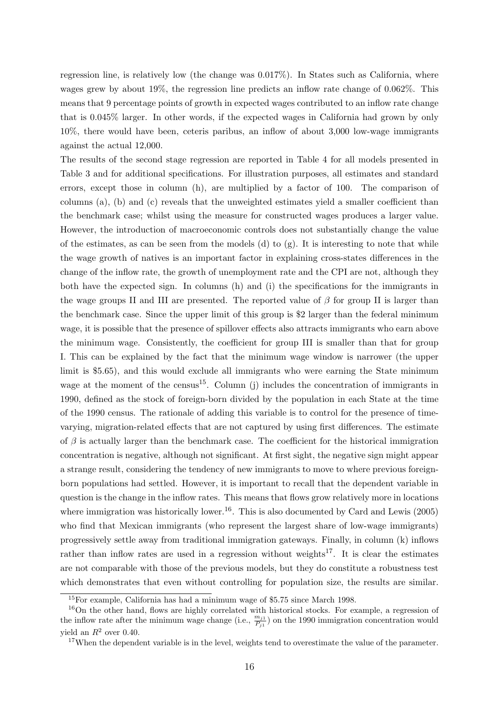regression line, is relatively low (the change was 0.017%). In States such as California, where wages grew by about 19%, the regression line predicts an inflow rate change of 0.062%. This means that 9 percentage points of growth in expected wages contributed to an inflow rate change that is 0.045% larger. In other words, if the expected wages in California had grown by only 10%, there would have been, ceteris paribus, an inflow of about 3,000 low-wage immigrants against the actual 12,000.

The results of the second stage regression are reported in Table [4](#page-18-0) for all models presented in Table [3](#page-15-0) and for additional specifications. For illustration purposes, all estimates and standard errors, except those in column (h), are multiplied by a factor of 100. The comparison of columns (a), (b) and (c) reveals that the unweighted estimates yield a smaller coefficient than the benchmark case; whilst using the measure for constructed wages produces a larger value. However, the introduction of macroeconomic controls does not substantially change the value of the estimates, as can be seen from the models (d) to  $(g)$ . It is interesting to note that while the wage growth of natives is an important factor in explaining cross-states differences in the change of the inflow rate, the growth of unemployment rate and the CPI are not, although they both have the expected sign. In columns (h) and (i) the specifications for the immigrants in the wage groups II and III are presented. The reported value of  $\beta$  for group II is larger than the benchmark case. Since the upper limit of this group is \$2 larger than the federal minimum wage, it is possible that the presence of spillover effects also attracts immigrants who earn above the minimum wage. Consistently, the coefficient for group III is smaller than that for group I. This can be explained by the fact that the minimum wage window is narrower (the upper limit is \$5.65), and this would exclude all immigrants who were earning the State minimum wage at the moment of the census<sup>[15](#page-17-0)</sup>. Column (j) includes the concentration of immigrants in 1990, defined as the stock of foreign-born divided by the population in each State at the time of the 1990 census. The rationale of adding this variable is to control for the presence of timevarying, migration-related effects that are not captured by using first differences. The estimate of  $\beta$  is actually larger than the benchmark case. The coefficient for the historical immigration concentration is negative, although not significant. At first sight, the negative sign might appear a strange result, considering the tendency of new immigrants to move to where previous foreignborn populations had settled. However, it is important to recall that the dependent variable in question is the change in the inflow rates. This means that flows grow relatively more in locations where immigration was historically lower.<sup>[16](#page-17-1)</sup>. This is also documented by [Card and Lewis](#page-21-12) [\(2005\)](#page-21-12) who find that Mexican immigrants (who represent the largest share of low-wage immigrants) progressively settle away from traditional immigration gateways. Finally, in column (k) inflows rather than inflow rates are used in a regression without weights<sup>[17](#page-17-2)</sup>. It is clear the estimates are not comparable with those of the previous models, but they do constitute a robustness test which demonstrates that even without controlling for population size, the results are similar.

<span id="page-17-1"></span><span id="page-17-0"></span><sup>15</sup>For example, California has had a minimum wage of \$5.75 since March 1998.

<sup>16</sup>On the other hand, flows are highly correlated with historical stocks. For example, a regression of the inflow rate after the minimum wage change (i.e.,  $\frac{m_{j1}}{P_{j1}}$ ) on the 1990 immigration concentration would yield an  $R^2$  over 0.40.

<span id="page-17-2"></span><sup>&</sup>lt;sup>17</sup>When the dependent variable is in the level, weights tend to overestimate the value of the parameter.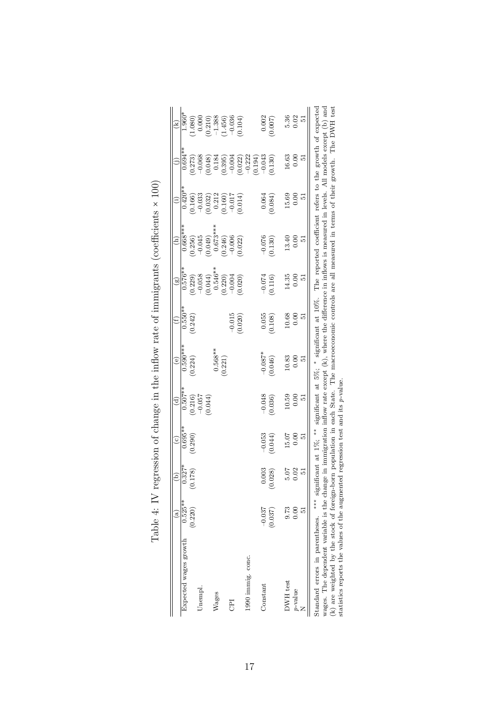<span id="page-18-0"></span>

| $0.695**$<br>0.290)<br>$0.327*$<br>178)<br>$0.525**$<br>(0.220)<br>Expected wages growth<br>Unempl<br>Wages<br>E | $0.507**$<br>$\begin{array}{c} (0.216) \\ -0.057 \\ (0.044) \end{array}$ | $0.590***$<br>(0.224)                        |                                              |                                                                                                                          |                                                                                                  |                                                                                              |                                                                                                                                         |                                                                                                                                                                                                                                                                                                                         |
|------------------------------------------------------------------------------------------------------------------|--------------------------------------------------------------------------|----------------------------------------------|----------------------------------------------|--------------------------------------------------------------------------------------------------------------------------|--------------------------------------------------------------------------------------------------|----------------------------------------------------------------------------------------------|-----------------------------------------------------------------------------------------------------------------------------------------|-------------------------------------------------------------------------------------------------------------------------------------------------------------------------------------------------------------------------------------------------------------------------------------------------------------------------|
|                                                                                                                  |                                                                          |                                              | $0.550**$                                    | $\frac{(8)}{0.576**}$                                                                                                    | $0.668***$                                                                                       | $\frac{1}{0.420}$ **                                                                         | $0.694**$                                                                                                                               | $1.960*$                                                                                                                                                                                                                                                                                                                |
|                                                                                                                  |                                                                          |                                              | (0.242)                                      |                                                                                                                          |                                                                                                  |                                                                                              |                                                                                                                                         |                                                                                                                                                                                                                                                                                                                         |
|                                                                                                                  |                                                                          |                                              |                                              |                                                                                                                          |                                                                                                  |                                                                                              |                                                                                                                                         |                                                                                                                                                                                                                                                                                                                         |
|                                                                                                                  |                                                                          |                                              |                                              |                                                                                                                          |                                                                                                  |                                                                                              |                                                                                                                                         |                                                                                                                                                                                                                                                                                                                         |
|                                                                                                                  |                                                                          |                                              |                                              |                                                                                                                          |                                                                                                  |                                                                                              |                                                                                                                                         |                                                                                                                                                                                                                                                                                                                         |
|                                                                                                                  |                                                                          | $0.568***$<br>(0.221)                        |                                              |                                                                                                                          |                                                                                                  |                                                                                              |                                                                                                                                         |                                                                                                                                                                                                                                                                                                                         |
|                                                                                                                  |                                                                          |                                              |                                              |                                                                                                                          |                                                                                                  |                                                                                              |                                                                                                                                         |                                                                                                                                                                                                                                                                                                                         |
|                                                                                                                  |                                                                          |                                              | $-0.015$<br>(0.020)                          | $\begin{array}{l} (0.229)\\ -0.058\\ -0.054\\ 0.546^{**}\\ 0.546^{**}\\ -0.0004\\ -0.0004\\ 0.0004\\ 0.0004 \end{array}$ | $(0.256)$<br>$-0.045$<br>$(0.049)$<br>$0.673**$<br>$-0.066$<br>$-0.006$<br>$-0.006$<br>$(0.222)$ | $\begin{array}{l} (0.166) \\ -0.033 \\ (0.032) \\ 0.212 \\ (0.160) \\ -0.017 \\ \end{array}$ | $\begin{array}{l} (0.273) \\ -0.068 \\ -0.048) \\ 0.184 \\ 0.395) \\ (0.395) \\ -0.004 \\ (0.022) \\ (-0.194) \\ -0.023 \\ \end{array}$ | $\begin{array}{l} (1.080)\\ (0.000\\ (0.210)\\ (-1.388\\ (-1.456)\\ (-0.036\\ (-0.104)\\ (-0.036\\ (-0.104)\\ (-0.036\\ (-0.104)\\ (-0.104)\\ (-0.104)\\ (-0.104)\\ (-0.104)\\ (-0.104)\\ (-0.104)\\ (-0.104)\\ (-0.104)\\ (-0.104)\\ (-0.104)\\ (-0.104)\\ (-0.104)\\ (-0.104)\\ (-0.104)\\ (-0.104)\\ (-0.104)\\ (-0$ |
| 1990 immig. conc.                                                                                                |                                                                          |                                              |                                              |                                                                                                                          |                                                                                                  |                                                                                              |                                                                                                                                         |                                                                                                                                                                                                                                                                                                                         |
|                                                                                                                  |                                                                          |                                              |                                              |                                                                                                                          |                                                                                                  |                                                                                              |                                                                                                                                         |                                                                                                                                                                                                                                                                                                                         |
| $-0.037$<br>Constant                                                                                             |                                                                          |                                              |                                              |                                                                                                                          |                                                                                                  |                                                                                              |                                                                                                                                         |                                                                                                                                                                                                                                                                                                                         |
| $-0.053$<br>0.044)<br>$0.003$<br>$028)$<br>(0.037)                                                               | $-0.048$<br>0.036)                                                       | $-0.087*$<br>0.046)                          | (801.0)                                      | $-0.074$<br>0.116)                                                                                                       | $-0.076$<br>0.130)                                                                               | $0.064$<br>0.084)                                                                            | 0.130)                                                                                                                                  | $0.002$<br>$0.007$                                                                                                                                                                                                                                                                                                      |
| 15.07<br>5.07<br>9.73<br>DWH test                                                                                |                                                                          |                                              | $\begin{array}{c} 10.68 \\ 0.00 \end{array}$ | 14.35<br>0.00                                                                                                            |                                                                                                  | $\begin{array}{c} 15.69 \\ 0.00 \end{array}$                                                 |                                                                                                                                         |                                                                                                                                                                                                                                                                                                                         |
| 0.00<br>0.02<br>0.00<br>p-value                                                                                  | $\begin{array}{c} 10.59 \\ 0.00 \end{array}$                             | $\begin{array}{c} 10.83 \\ 0.00 \end{array}$ |                                              |                                                                                                                          | $\begin{array}{c} 13.40 \\ 0.00 \end{array}$                                                     |                                                                                              | $\begin{array}{c} 16.63 \\ 0.00 \end{array}$                                                                                            | 5.36<br>0.02                                                                                                                                                                                                                                                                                                            |
| 5<br>12<br>ī.                                                                                                    | ŗΟ,                                                                      | Ιć,                                          | 12                                           | 55                                                                                                                       | ic.                                                                                              | ŗ,                                                                                           | 됴                                                                                                                                       | <u>р</u>                                                                                                                                                                                                                                                                                                                |

| ֕                |
|------------------|
|                  |
|                  |
|                  |
|                  |
|                  |
|                  |
| しゅうしゅう こうしょう     |
|                  |
|                  |
|                  |
|                  |
| こうせい             |
| J                |
|                  |
| .<br>.<br>.<br>ì |

Standard errors in parentheses. ∗∗∗ significant at 1%; ∗∗ significant at 5%; <sup>14</sup><br>Standard errors in parentheses. \*\*\* significant at 1%; \*\* significant at 5%; \* significant at 10%. The reported coefficient refers to the growth or expecued<br>wages. The dependent variable is the change in immigration wages. The dependent variable is the change in immigration inflow rate except  $(k)$ , where the difference in inflows is measured in levels. All models except  $(b)$  and (k) are weighted by the stock of foreign-born population in each State. The macroeconomic controls are all measured in terms of their growth. The DWH test statistics reports the values of the augmented regression test and its p-value.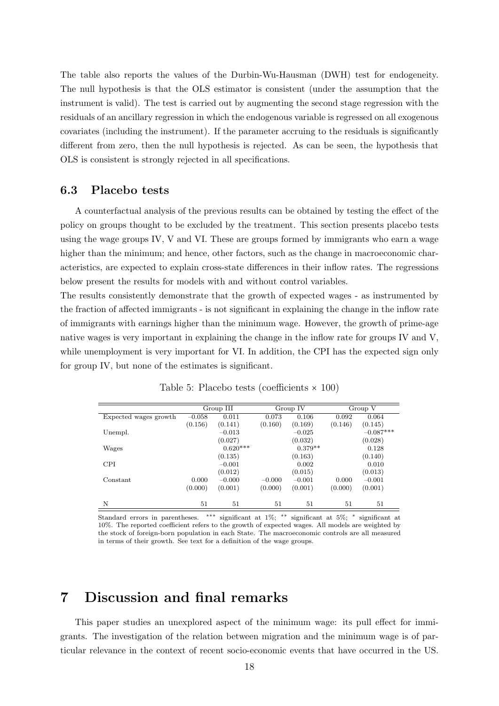The table also reports the values of the Durbin-Wu-Hausman (DWH) test for endogeneity. The null hypothesis is that the OLS estimator is consistent (under the assumption that the instrument is valid). The test is carried out by augmenting the second stage regression with the residuals of an ancillary regression in which the endogenous variable is regressed on all exogenous covariates (including the instrument). If the parameter accruing to the residuals is significantly different from zero, then the null hypothesis is rejected. As can be seen, the hypothesis that OLS is consistent is strongly rejected in all specifications.

#### 6.3 Placebo tests

A counterfactual analysis of the previous results can be obtained by testing the effect of the policy on groups thought to be excluded by the treatment. This section presents placebo tests using the wage groups IV, V and VI. These are groups formed by immigrants who earn a wage higher than the minimum; and hence, other factors, such as the change in macroeconomic characteristics, are expected to explain cross-state differences in their inflow rates. The regressions below present the results for models with and without control variables.

The results consistently demonstrate that the growth of expected wages - as instrumented by the fraction of affected immigrants - is not significant in explaining the change in the inflow rate of immigrants with earnings higher than the minimum wage. However, the growth of prime-age native wages is very important in explaining the change in the inflow rate for groups IV and V, while unemployment is very important for VI. In addition, the CPI has the expected sign only for group IV, but none of the estimates is significant.

|                       |          | Group III  |          | Group IV  |         | Group V     |
|-----------------------|----------|------------|----------|-----------|---------|-------------|
| Expected wages growth | $-0.058$ | 0.011      | 0.073    | 0.106     | 0.092   | 0.064       |
|                       | (0.156)  | (0.141)    | (0.160)  | (0.169)   | (0.146) | (0.145)     |
| Unempl.               |          | $-0.013$   |          | $-0.025$  |         | $-0.087***$ |
|                       |          | (0.027)    |          | (0.032)   |         | (0.028)     |
| Wages                 |          | $0.620***$ |          | $0.379**$ |         | 0.128       |
|                       |          | (0.135)    |          | (0.163)   |         | (0.140)     |
| <b>CPI</b>            |          | $-0.001$   |          | 0.002     |         | 0.010       |
|                       |          | (0.012)    |          | (0.015)   |         | (0.013)     |
| Constant              | 0.000    | $-0.000$   | $-0.000$ | $-0.001$  | 0.000   | $-0.001$    |
|                       | (0.000)  | (0.001)    | (0.000)  | (0.001)   | (0.000) | (0.001)     |
| N                     | 51       | 51         | 51       | 51        | 51      | 51          |

Table 5: Placebo tests (coefficients × 100)

Standard errors in parentheses. ∗∗∗ significant at 1%; ∗∗ significant at 5%; <sup>∗</sup> significant at 10%. The reported coefficient refers to the growth of expected wages. All models are weighted by the stock of foreign-born population in each State. The macroeconomic controls are all measured in terms of their growth. See text for a definition of the wage groups.

# 7 Discussion and final remarks

This paper studies an unexplored aspect of the minimum wage: its pull effect for immigrants. The investigation of the relation between migration and the minimum wage is of particular relevance in the context of recent socio-economic events that have occurred in the US.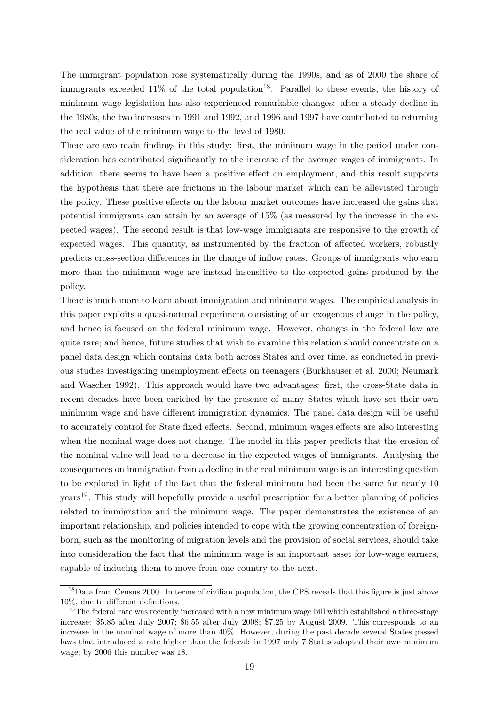The immigrant population rose systematically during the 1990s, and as of 2000 the share of immigrants exceeded  $11\%$  of the total population<sup>[18](#page-20-0)</sup>. Parallel to these events, the history of minimum wage legislation has also experienced remarkable changes: after a steady decline in the 1980s, the two increases in 1991 and 1992, and 1996 and 1997 have contributed to returning the real value of the minimum wage to the level of 1980.

There are two main findings in this study: first, the minimum wage in the period under consideration has contributed significantly to the increase of the average wages of immigrants. In addition, there seems to have been a positive effect on employment, and this result supports the hypothesis that there are frictions in the labour market which can be alleviated through the policy. These positive effects on the labour market outcomes have increased the gains that potential immigrants can attain by an average of 15% (as measured by the increase in the expected wages). The second result is that low-wage immigrants are responsive to the growth of expected wages. This quantity, as instrumented by the fraction of affected workers, robustly predicts cross-section differences in the change of inflow rates. Groups of immigrants who earn more than the minimum wage are instead insensitive to the expected gains produced by the policy.

There is much more to learn about immigration and minimum wages. The empirical analysis in this paper exploits a quasi-natural experiment consisting of an exogenous change in the policy, and hence is focused on the federal minimum wage. However, changes in the federal law are quite rare; and hence, future studies that wish to examine this relation should concentrate on a panel data design which contains data both across States and over time, as conducted in previous studies investigating unemployment effects on teenagers [\(Burkhauser et al.](#page-21-13) [2000;](#page-21-13) [Neumark](#page-22-5) [and Wascher](#page-22-5) [1992\)](#page-22-5). This approach would have two advantages: first, the cross-State data in recent decades have been enriched by the presence of many States which have set their own minimum wage and have different immigration dynamics. The panel data design will be useful to accurately control for State fixed effects. Second, minimum wages effects are also interesting when the nominal wage does not change. The model in this paper predicts that the erosion of the nominal value will lead to a decrease in the expected wages of immigrants. Analysing the consequences on immigration from a decline in the real minimum wage is an interesting question to be explored in light of the fact that the federal minimum had been the same for nearly 10 years[19](#page-20-1). This study will hopefully provide a useful prescription for a better planning of policies related to immigration and the minimum wage. The paper demonstrates the existence of an important relationship, and policies intended to cope with the growing concentration of foreignborn, such as the monitoring of migration levels and the provision of social services, should take into consideration the fact that the minimum wage is an important asset for low-wage earners, capable of inducing them to move from one country to the next.

<span id="page-20-0"></span><sup>&</sup>lt;sup>18</sup>Data from Census 2000. In terms of civilian population, the CPS reveals that this figure is just above 10%, due to different definitions.

<span id="page-20-1"></span><sup>&</sup>lt;sup>19</sup>The federal rate was recently increased with a new minimum wage bill which established a three-stage increase: \$5.85 after July 2007; \$6.55 after July 2008; \$7.25 by August 2009. This corresponds to an increase in the nominal wage of more than 40%. However, during the past decade several States passed laws that introduced a rate higher than the federal: in 1997 only 7 States adopted their own minimum wage; by 2006 this number was 18.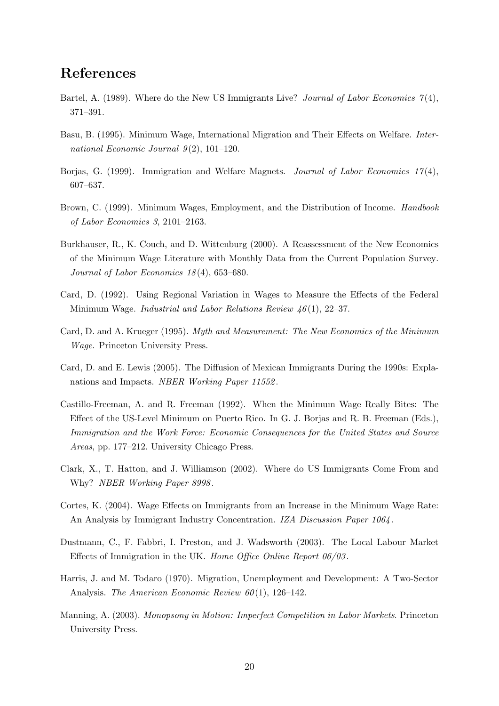# References

- <span id="page-21-11"></span>Bartel, A. (1989). Where do the New US Immigrants Live? Journal of Labor Economics  $\gamma(4)$ , 371–391.
- <span id="page-21-6"></span>Basu, B. (1995). Minimum Wage, International Migration and Their Effects on Welfare. International Economic Journal  $9(2)$ , 101-120.
- <span id="page-21-7"></span>Borjas, G. (1999). Immigration and Welfare Magnets. *Journal of Labor Economics*  $17(4)$ , 607–637.
- <span id="page-21-3"></span>Brown, C. (1999). Minimum Wages, Employment, and the Distribution of Income. *Handbook* of Labor Economics 3, 2101–2163.
- <span id="page-21-13"></span>Burkhauser, R., K. Couch, and D. Wittenburg (2000). A Reassessment of the New Economics of the Minimum Wage Literature with Monthly Data from the Current Population Survey. Journal of Labor Economics 18 (4), 653–680.
- <span id="page-21-4"></span>Card, D. (1992). Using Regional Variation in Wages to Measure the Effects of the Federal Minimum Wage. *Industrial and Labor Relations Review 46*(1), 22–37.
- <span id="page-21-2"></span>Card, D. and A. Krueger (1995). Myth and Measurement: The New Economics of the Minimum Wage. Princeton University Press.
- <span id="page-21-12"></span>Card, D. and E. Lewis (2005). The Diffusion of Mexican Immigrants During the 1990s: Explanations and Impacts. NBER Working Paper 11552 .
- <span id="page-21-8"></span>Castillo-Freeman, A. and R. Freeman (1992). When the Minimum Wage Really Bites: The Effect of the US-Level Minimum on Puerto Rico. In G. J. Borjas and R. B. Freeman (Eds.), Immigration and the Work Force: Economic Consequences for the United States and Source Areas, pp. 177–212. University Chicago Press.
- <span id="page-21-0"></span>Clark, X., T. Hatton, and J. Williamson (2002). Where do US Immigrants Come From and Why? *NBER Working Paper 8998*.
- <span id="page-21-10"></span>Cortes, K. (2004). Wage Effects on Immigrants from an Increase in the Minimum Wage Rate: An Analysis by Immigrant Industry Concentration. IZA Discussion Paper 1064 .
- <span id="page-21-9"></span>Dustmann, C., F. Fabbri, I. Preston, and J. Wadsworth (2003). The Local Labour Market Effects of Immigration in the UK. Home Office Online Report  $06/03$ .
- <span id="page-21-5"></span>Harris, J. and M. Todaro (1970). Migration, Unemployment and Development: A Two-Sector Analysis. The American Economic Review  $60(1)$ , 126–142.
- <span id="page-21-1"></span>Manning, A. (2003). Monopsony in Motion: Imperfect Competition in Labor Markets. Princeton University Press.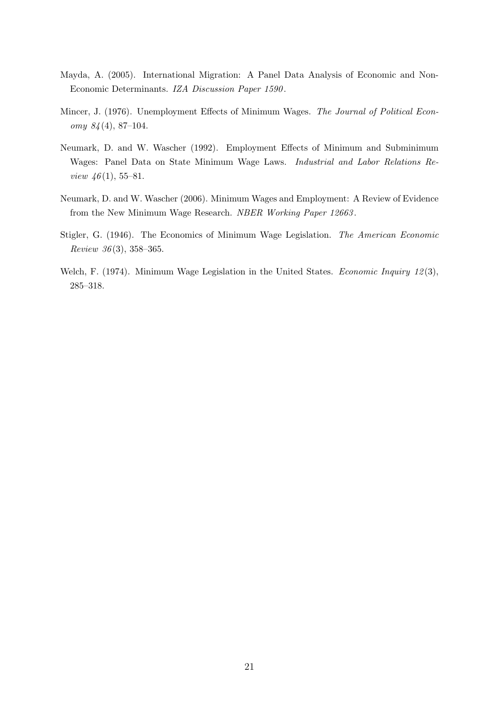- <span id="page-22-0"></span>Mayda, A. (2005). International Migration: A Panel Data Analysis of Economic and Non-Economic Determinants. IZA Discussion Paper 1590 .
- <span id="page-22-3"></span>Mincer, J. (1976). Unemployment Effects of Minimum Wages. The Journal of Political Economy  $84(4)$ , 87-104.
- <span id="page-22-5"></span>Neumark, D. and W. Wascher (1992). Employment Effects of Minimum and Subminimum Wages: Panel Data on State Minimum Wage Laws. Industrial and Labor Relations Review  $46(1), 55-81.$
- <span id="page-22-4"></span>Neumark, D. and W. Wascher (2006). Minimum Wages and Employment: A Review of Evidence from the New Minimum Wage Research. NBER Working Paper 12663 .
- <span id="page-22-1"></span>Stigler, G. (1946). The Economics of Minimum Wage Legislation. The American Economic Review  $36(3)$ , 358-365.
- <span id="page-22-2"></span>Welch, F. (1974). Minimum Wage Legislation in the United States. Economic Inquiry 12(3), 285–318.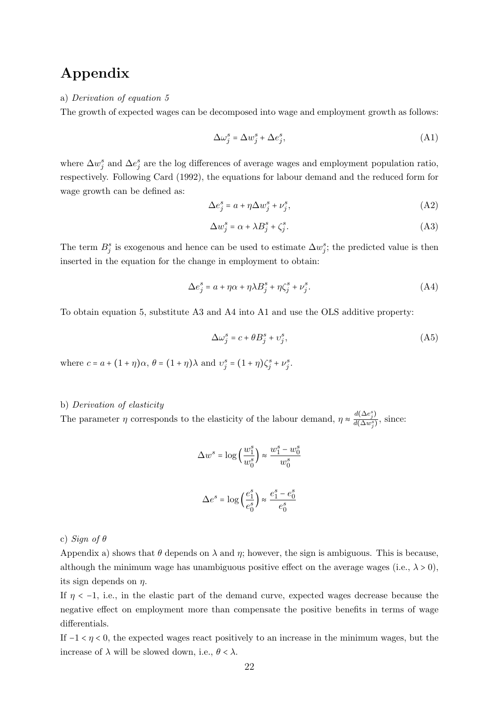# Appendix

#### <span id="page-23-0"></span>a) Derivation of equation [5](#page-7-1)

The growth of expected wages can be decomposed into wage and employment growth as follows:

$$
\Delta \omega_j^s = \Delta w_j^s + \Delta e_j^s,\tag{A1}
$$

where  $\Delta w_j^s$  and  $\Delta e_j^s$  are the log differences of average wages and employment population ratio, respectively. Following [Card](#page-21-4) [\(1992\)](#page-21-4), the equations for labour demand and the reduced form for wage growth can be defined as:

$$
\Delta e_j^s = a + \eta \Delta w_j^s + \nu_j^s,\tag{A2}
$$

$$
\Delta w_j^s = \alpha + \lambda B_j^s + \zeta_j^s. \tag{A3}
$$

The term  $B_j^s$  is exogenous and hence can be used to estimate  $\Delta w_j^s$ ; the predicted value is then inserted in the equation for the change in employment to obtain:

$$
\Delta e_j^s = a + \eta \alpha + \eta \lambda B_j^s + \eta \zeta_j^s + \nu_j^s. \tag{A4}
$$

To obtain equation [5,](#page-7-1) substitute [A3](#page-23-0) and [A4](#page-23-0) into [A1](#page-23-0) and use the OLS additive property:

$$
\Delta \omega_j^s = c + \theta B_j^s + \upsilon_j^s,\tag{A5}
$$

where  $c = a + (1 + \eta)\alpha$ ,  $\theta = (1 + \eta)\lambda$  and  $v_j^s = (1 + \eta)\zeta_j^s + v_j^s$ .

#### b) Derivation of elasticity

The parameter  $\eta$  corresponds to the elasticity of the labour demand,  $\eta \approx \frac{d(\Delta e_j^s)}{d(\Delta w^s)}$  $\frac{d(\Delta v_j)}{d(\Delta w_j^s)}$ , since:

$$
\Delta w^s = \log\left(\frac{w_1^s}{w_0^s}\right) \approx \frac{w_1^s - w_0^s}{w_0^s}
$$

$$
\Delta e^s = \log\left(\frac{e_1^s}{e_0^s}\right) \approx \frac{e_1^s - e_0^s}{e_0^s}
$$

c) Sign of  $\theta$ 

Appendix a) shows that  $\theta$  depends on  $\lambda$  and  $\eta$ ; however, the sign is ambiguous. This is because, although the minimum wage has unambiguous positive effect on the average wages (i.e.,  $\lambda > 0$ ), its sign depends on  $\eta$ .

If  $\eta$  < -1, i.e., in the elastic part of the demand curve, expected wages decrease because the negative effect on employment more than compensate the positive benefits in terms of wage differentials.

If  $-1 < \eta < 0$ , the expected wages react positively to an increase in the minimum wages, but the increase of  $\lambda$  will be slowed down, i.e.,  $\theta < \lambda$ .